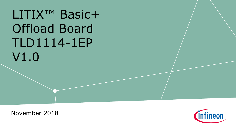# LITIX<sup>™</sup> Basic+ Offload Board TLD1114-1EP V1.0

November 2018

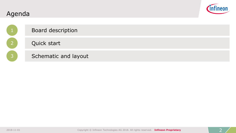

|                | Board description    |
|----------------|----------------------|
| $\overline{2}$ | Quick start          |
| 3              | Schematic and layout |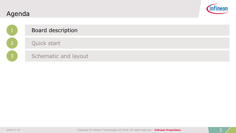

|                           | Board description    |
|---------------------------|----------------------|
| $\mathsf{P}^{\mathsf{I}}$ | Quick start          |
| $\overline{3}$            | Schematic and layout |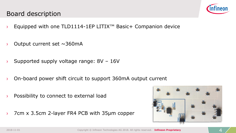#### Board description



- › Equipped with one TLD1114-1EP LITIX™ Basic+ Companion device
- Output current set  $\sim$ 360mA
- $\rightarrow$  Supported supply voltage range: 8V 16V
- › On-board power shift circuit to support 360mA output current
- › Possibility to connect to external load
- <span id="page-3-0"></span>› 7cm x 3.5cm 2-layer FR4 PCB with 35µm copper

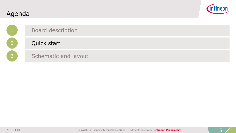

<span id="page-4-0"></span>

|                | <b>Board description</b> |
|----------------|--------------------------|
|                | Quick start              |
| $\overline{3}$ | Schematic and layout     |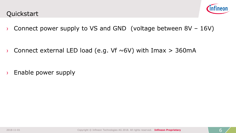

› Connect power supply to VS and GND (voltage between 8V – 16V)

 $\rightarrow$  Connect external LED load (e.g. Vf ~6V) with Imax > 360mA

<span id="page-5-0"></span>› Enable power supply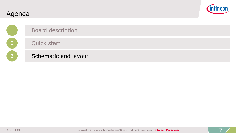

|                | <b>Board description</b> |
|----------------|--------------------------|
| $\overline{2}$ | Quick start              |
| <b>B</b>       | Schematic and layout     |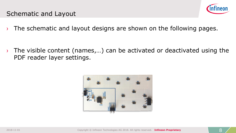

#### Schematic and Layout

 $\rightarrow$  The schematic and layout designs are shown on the following pages.

 $\rightarrow$  The visible content (names,...) can be activated or deactivated using the PDF reader layer settings.

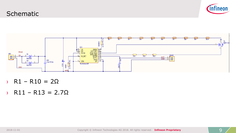#### **Schematic**





- › R1 R10 = 2Ω
- › R11 R13 = 2.7Ω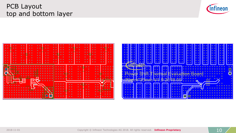2018-11-01 Copyright © Infineon Technologies AG 2018. All rights reserved. **Infineon Proprietary** 10

 $\bullet$   $\bullet$   $\bullet$ 

## PCB Layout top and bottom layer

 $\bullet$ 

 $\bullet$ 

Ö

 $\bullet$   $\bullet$  $\bullet$ 

| $\overline{\phantom{a}}$<br>$\bullet\quadbullet$<br>$\bullet$<br>٠<br>$\bullet\quadbullet$<br>٠<br>$\bullet\quadbullet$<br>٠<br>٠<br>$\bullet$<br>٠<br>٠<br>٠<br>٠<br>- | ٠<br>$\bullet\quadbullet$<br>٠<br>٠<br>$\bullet$ $\bullet$ | ٠<br>٠<br>٠<br>$\bullet$<br>٠<br>٠<br>٠<br>٠<br>۰<br>٠<br>٠<br>٠<br>٠<br>٠<br>٠       | ٠<br>. .<br>٠<br>٠<br>٠<br>٠                                                                           | ٠<br>$\bullet$<br>$\bullet\hspace{0.4mm}\bullet\hspace{0.4mm}$<br>٠<br>٠<br>$\bullet\quadbullet$<br>٠<br>$\bullet$<br>$\bullet\quad \bullet$ |  |
|-------------------------------------------------------------------------------------------------------------------------------------------------------------------------|------------------------------------------------------------|---------------------------------------------------------------------------------------|--------------------------------------------------------------------------------------------------------|----------------------------------------------------------------------------------------------------------------------------------------------|--|
| ٠<br>٠                                                                                                                                                                  | ٠                                                          | ۰<br>٠<br>٠<br>٠<br>٠<br>٠<br>$\bullet$<br>٠<br>٠<br>٠                                | ٠<br>٠<br>٠<br>٠<br>٠<br>٠<br>٠<br>٠<br>٠<br>٠<br>٠<br>٠<br>٠                                          | ٠<br>٠<br>٠<br>٠                                                                                                                             |  |
| ٠<br>٠                                                                                                                                                                  |                                                            | $\bullet$<br>٠<br>٠<br>٠<br>٠<br>٠<br>٠<br>٠<br>٠<br>٠<br>٠<br>- 60<br>٠<br>$\bullet$ | ٠<br>٠<br>٠<br>٠<br>٠<br>$\bullet$<br>٠<br>IR.<br>٠<br>٠<br>٠<br>٠<br>٠<br>$\bullet$<br>٠<br>$\bullet$ | ٠<br>٠<br>٠<br>٠<br>٠                                                                                                                        |  |

 $\bullet\;\; \bullet$ 



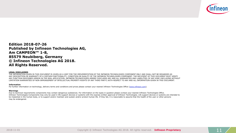

**Edition 2018-07-26 Published by Infineon Technologies AG, Am CAMPEON™ 1-8, 85579 Neubiberg, Germany © Infineon Technologies AG 2018. All Rights Reserved.**

#### **LEGAL DISCLAIMER**:

THE INFORMATION GIVEN IN THIS DOCUMENT IS GIVEN AS A HINT FOR THE IMPLEMENTATION OF THE INFINEON TECHNOLOGIES COMPONENT ONLY AND SHALL NOT BE REGARDED AS ANY DESCRIPTION OR WARRANTY OF A CERTAIN FUNCTIONALITY, CONDITION OR QUALITY OF THE INFINEON TECHNOLOGIES COMPONENT. THE RECIPIENT OF THIS DOCUMENT MUST VERIFY ANY FUNCTION DESCRIBED HEREIN IN THE REAL APPLICATION. INFINEON TECHNOLOGIES HEREBY DISCLAIMS ANY AND ALL WARRANTIES AND LIABILITIES OF ANY KIND (INCLUDING WITHOUT LIMITATION WARRANTIES OF NON-INFRINGEMENT OF INTELLECTUAL PROPERTY RIGHTS OF ANY THIRD PARTY) WITH RESPECT TO ANY AND ALL INFORMATION GIVEN IN THIS DOCUMENT.

#### **Information**

For further information on technology, delivery terms and conditions and prices please contact your nearest Infineon Technologies Office ([www.infineon.com\)](http://www.infineon.com/).

#### **Warnings**

Due to technical requirements components may contain dangerous substances. For information on the types in question please contact your nearest Infineon Technologies Office. Infineon Technologies Components may only be used in life-support devices or systems with the express written approval of Infineon Technologies. Life support devices or systems are intended to be implanted in the human body, or to support and/or maintain and sustain and/or protect human life. If they fail, it is reasonable to assume that the health of the user or other persons may be endangered.